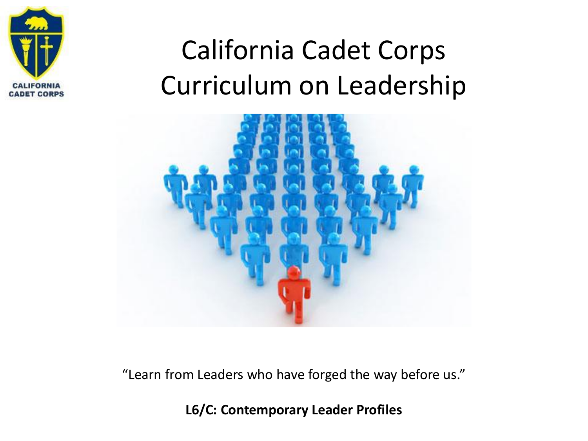

### California Cadet Corps Curriculum on Leadership



"Learn from Leaders who have forged the way before us."

**L6/C: Contemporary Leader Profiles**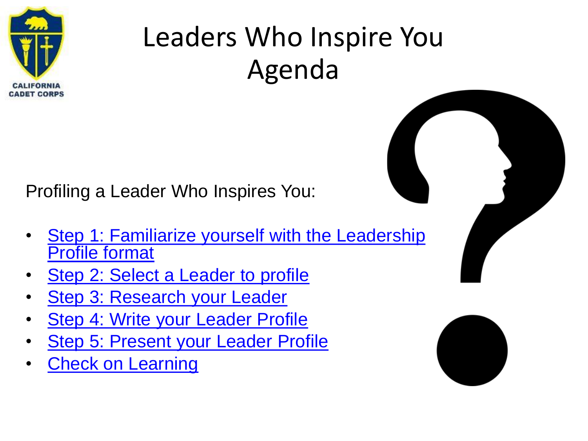

### Leaders Who Inspire You Agenda

Profiling a Leader Who Inspires You:

- [Step 1: Familiarize yourself with the Leadership](#page-3-0) Profile format
- [Step 2: Select a Leader to profile](#page-4-0)
- [Step 3: Research your Leader](#page-6-0)
- [Step 4: Write your Leader Profile](#page-7-0)
- [Step 5: Present your Leader Profile](#page-8-0)
- [Check on Learning](#page-9-0)

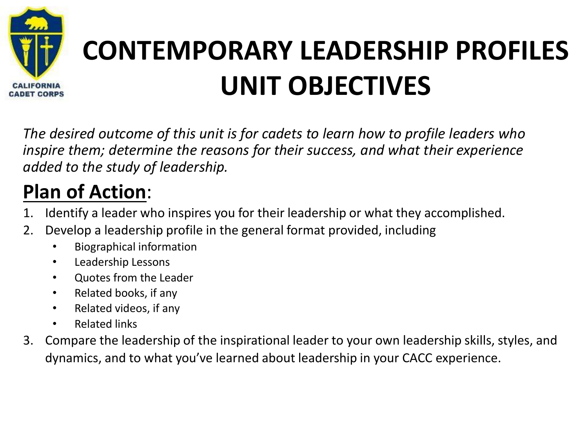

### **CONTEMPORARY LEADERSHIP PROFILES UNIT OBJECTIVES**

*The desired outcome of this unit is for cadets to learn how to profile leaders who inspire them; determine the reasons for their success, and what their experience added to the study of leadership.*

### **Plan of Action**:

- 1. Identify a leader who inspires you for their leadership or what they accomplished.
- 2. Develop a leadership profile in the general format provided, including
	- Biographical information
	- Leadership Lessons
	- Quotes from the Leader
	- Related books, if any
	- Related videos, if any
	- Related links
- 3. Compare the leadership of the inspirational leader to your own leadership skills, styles, and dynamics, and to what you've learned about leadership in your CACC experience.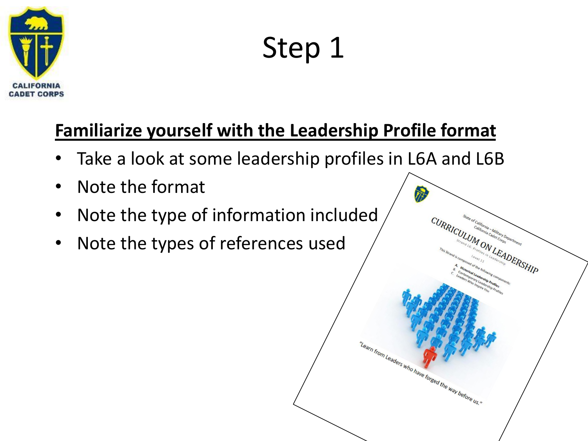<span id="page-3-0"></span>

Step 1

**CURRICULUM DERSHIP** 

"Learn from Leaders who have forged the way before us."

#### **Familiarize yourself with the Leadership Profile format**

- Take a look at some leadership profiles in L6A and L6B
- Note the format
- Note the type of information included
- Note the types of references used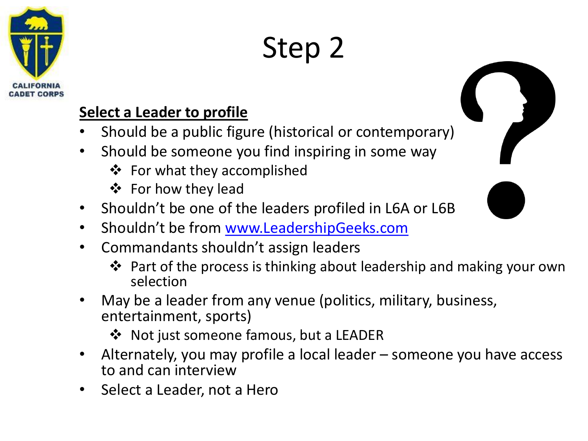<span id="page-4-0"></span>

# Step 2

#### **Select a Leader to profile**

- Should be a public figure (historical or contemporary)
- Should be someone you find inspiring in some way
	- ❖ For what they accomplished
	- ❖ For how they lead
- Shouldn't be one of the leaders profiled in L6A or L6B
- Shouldn't be from [www.LeadershipGeeks.com](http://www.leadershipgeeks.com/)
- Commandants shouldn't assign leaders
	- ❖ Part of the process is thinking about leadership and making your own selection
- May be a leader from any venue (politics, military, business, entertainment, sports)
	- ❖ Not just someone famous, but a LEADER
- Alternately, you may profile a local leader someone you have access to and can interview
- Select a Leader, not a Hero

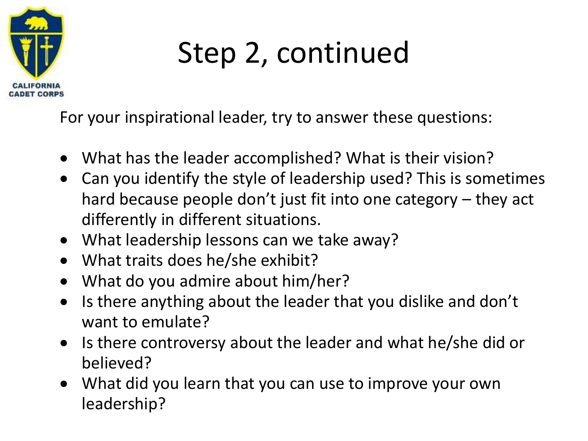

### Step 2, continued

For your inspirational leader, try to answer these questions:

- What has the leader accomplished? What is their vision?
- Can you identify the style of leadership used? This is sometimes hard because people don't just fit into one category – they act differently in different situations.
- What leadership lessons can we take away?
- What traits does he/she exhibit?
- What do you admire about him/her?
- Is there anything about the leader that you dislike and don't want to emulate?
- Is there controversy about the leader and what he/she did or believed?
- What did you learn that you can use to improve your own leadership?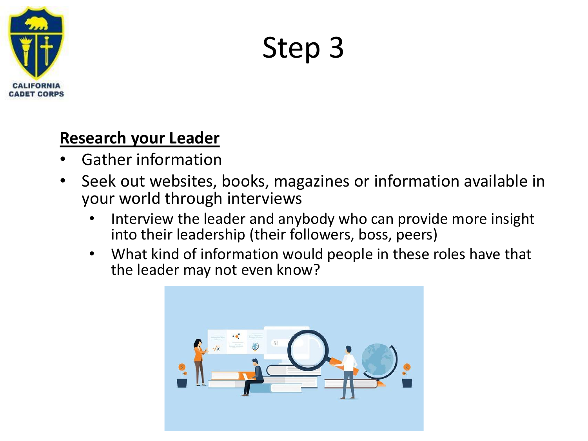<span id="page-6-0"></span>

Step 3

#### **Research your Leader**

- Gather information
- Seek out websites, books, magazines or information available in your world through interviews
	- Interview the leader and anybody who can provide more insight into their leadership (their followers, boss, peers)
	- What kind of information would people in these roles have that the leader may not even know?

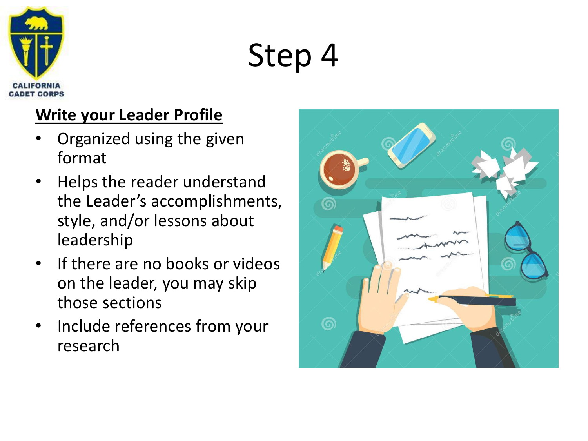<span id="page-7-0"></span>

# Step 4

#### **Write your Leader Profile**

- Organized using the given format
- Helps the reader understand the Leader's accomplishments, style, and/or lessons about leadership
- If there are no books or videos on the leader, you may skip those sections
- Include references from your research

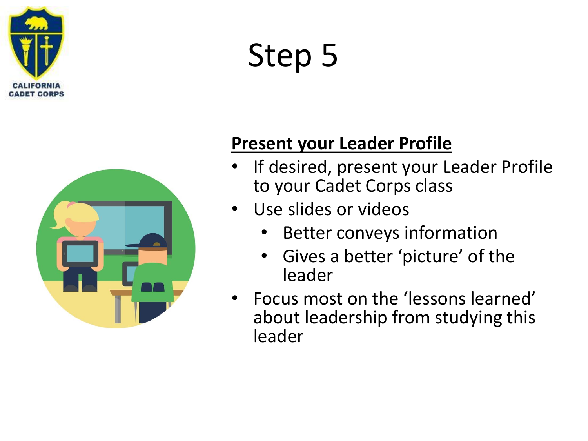<span id="page-8-0"></span>

# Step 5



#### **Present your Leader Profile**

- If desired, present your Leader Profile to your Cadet Corps class
- Use slides or videos
	- Better conveys information
	- Gives a better 'picture' of the leader
- Focus most on the 'lessons learned' about leadership from studying this leader